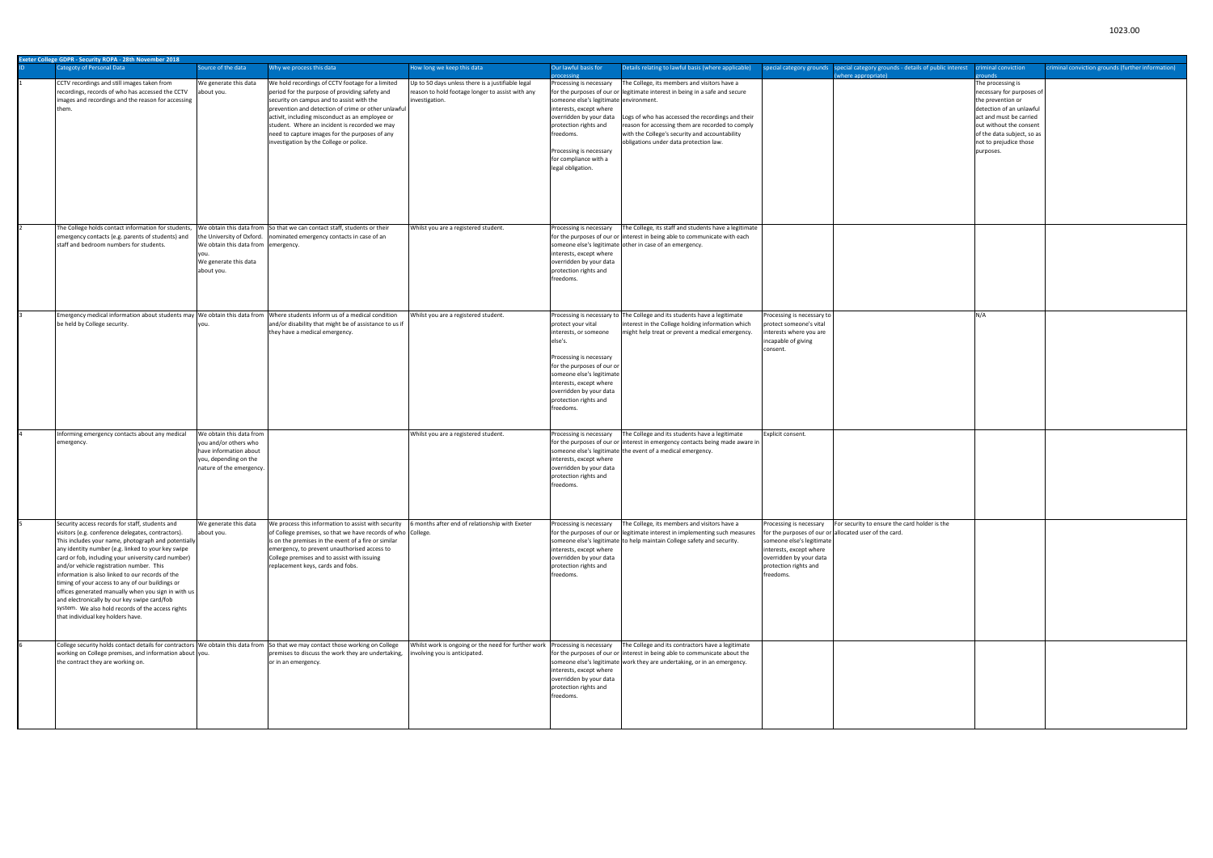| <b>Exeter College GDPR - Security ROPA - 28th November 2018</b>                                                                 |                                     |                                                                          |                                                                             |                                                                                  |                            |                                                                                |                            |                                                   |
|---------------------------------------------------------------------------------------------------------------------------------|-------------------------------------|--------------------------------------------------------------------------|-----------------------------------------------------------------------------|----------------------------------------------------------------------------------|----------------------------|--------------------------------------------------------------------------------|----------------------------|---------------------------------------------------|
| Categoty of Personal Data                                                                                                       | Source of the data                  | Why we process this data                                                 | How long we keep this data                                                  | Our lawful basis for<br>Details relating to lawful basis (where applicable)      |                            | special category grounds special category grounds - details of public interest | criminal conviction        | criminal conviction grounds (further information) |
|                                                                                                                                 |                                     |                                                                          |                                                                             | <b>rocessing</b>                                                                 |                            | where appropriate)                                                             | <b>Philips</b>             |                                                   |
| CCTV recordings and still images taken from                                                                                     | We generate this data               | We hold recordings of CCTV footage for a limited                         | Up to 50 days unless there is a justifiable legal                           | Processing is necessary<br>The College, its members and visitors have a          |                            |                                                                                | The processing is          |                                                   |
|                                                                                                                                 |                                     |                                                                          |                                                                             |                                                                                  |                            |                                                                                |                            |                                                   |
| recordings, records of who has accessed the CCTV                                                                                | about you.                          | period for the purpose of providing safety and                           | reason to hold footage longer to assist with any                            | for the purposes of our or legitimate interest in being in a safe and secure     |                            |                                                                                | necessary for purposes of  |                                                   |
| images and recordings and the reason for accessing                                                                              |                                     | security on campus and to assist with the                                | investigation.                                                              | someone else's legitimate environment.                                           |                            |                                                                                | the prevention or          |                                                   |
| them.                                                                                                                           |                                     | prevention and detection of crime or other unlawful                      |                                                                             | interests, except where                                                          |                            |                                                                                | detection of an unlawful   |                                                   |
|                                                                                                                                 |                                     | activit, including misconduct as an employee or                          |                                                                             | overridden by your data<br>Logs of who has accessed the recordings and their     |                            |                                                                                | act and must be carried    |                                                   |
|                                                                                                                                 |                                     | student. Where an incident is recorded we may                            |                                                                             | protection rights and<br>reason for accessing them are recorded to comply        |                            |                                                                                | out without the consent    |                                                   |
|                                                                                                                                 |                                     |                                                                          |                                                                             |                                                                                  |                            |                                                                                |                            |                                                   |
|                                                                                                                                 |                                     | need to capture images for the purposes of any                           |                                                                             | reedoms.<br>with the College's security and accountability                       |                            |                                                                                | of the data subject, so as |                                                   |
|                                                                                                                                 |                                     | investigation by the College or police.                                  |                                                                             | obligations under data protection law.                                           |                            |                                                                                | not to prejudice those     |                                                   |
|                                                                                                                                 |                                     |                                                                          |                                                                             | Processing is necessary                                                          |                            |                                                                                | purposes.                  |                                                   |
|                                                                                                                                 |                                     |                                                                          |                                                                             | for compliance with a                                                            |                            |                                                                                |                            |                                                   |
|                                                                                                                                 |                                     |                                                                          |                                                                             | legal obligation.                                                                |                            |                                                                                |                            |                                                   |
|                                                                                                                                 |                                     |                                                                          |                                                                             |                                                                                  |                            |                                                                                |                            |                                                   |
|                                                                                                                                 |                                     |                                                                          |                                                                             |                                                                                  |                            |                                                                                |                            |                                                   |
|                                                                                                                                 |                                     |                                                                          |                                                                             |                                                                                  |                            |                                                                                |                            |                                                   |
|                                                                                                                                 |                                     |                                                                          |                                                                             |                                                                                  |                            |                                                                                |                            |                                                   |
|                                                                                                                                 |                                     |                                                                          |                                                                             |                                                                                  |                            |                                                                                |                            |                                                   |
|                                                                                                                                 |                                     |                                                                          |                                                                             |                                                                                  |                            |                                                                                |                            |                                                   |
|                                                                                                                                 |                                     |                                                                          |                                                                             |                                                                                  |                            |                                                                                |                            |                                                   |
|                                                                                                                                 |                                     |                                                                          |                                                                             |                                                                                  |                            |                                                                                |                            |                                                   |
| The College holds contact information for students,                                                                             |                                     | We obtain this data from So that we can contact staff, students or their | Whilst you are a registered student.                                        | The College, its staff and students have a legitimate<br>Processing is necessary |                            |                                                                                |                            |                                                   |
| emergency contacts (e.g. parents of students) and                                                                               | the University of Oxford.           | ominated emergency contacts in case of an                                |                                                                             | for the purposes of our or interest in being able to communicate with each       |                            |                                                                                |                            |                                                   |
| staff and bedroom numbers for students.                                                                                         | We obtain this data from emergency. |                                                                          |                                                                             | someone else's legitimate other in case of an emergency.                         |                            |                                                                                |                            |                                                   |
|                                                                                                                                 |                                     |                                                                          |                                                                             | nterests, except where                                                           |                            |                                                                                |                            |                                                   |
|                                                                                                                                 |                                     |                                                                          |                                                                             |                                                                                  |                            |                                                                                |                            |                                                   |
|                                                                                                                                 | We generate this data               |                                                                          |                                                                             | overridden by your data                                                          |                            |                                                                                |                            |                                                   |
|                                                                                                                                 | about you.                          |                                                                          |                                                                             | protection rights and                                                            |                            |                                                                                |                            |                                                   |
|                                                                                                                                 |                                     |                                                                          |                                                                             | reedoms.                                                                         |                            |                                                                                |                            |                                                   |
|                                                                                                                                 |                                     |                                                                          |                                                                             |                                                                                  |                            |                                                                                |                            |                                                   |
|                                                                                                                                 |                                     |                                                                          |                                                                             |                                                                                  |                            |                                                                                |                            |                                                   |
|                                                                                                                                 |                                     |                                                                          |                                                                             |                                                                                  |                            |                                                                                |                            |                                                   |
|                                                                                                                                 |                                     |                                                                          |                                                                             |                                                                                  |                            |                                                                                |                            |                                                   |
| Emergency medical information about students may We obtain this data from Where students inform us of a medical condition       |                                     |                                                                          | Whilst you are a registered student.                                        | Processing is necessary to The College and its students have a legitimate        | Processing is necessary to |                                                                                | N/A                        |                                                   |
| be held by College security.                                                                                                    |                                     | and/or disability that might be of assistance to us if                   |                                                                             | interest in the College holding information which<br>protect your vital          | protect someone's vital    |                                                                                |                            |                                                   |
|                                                                                                                                 |                                     | they have a medical emergency.                                           |                                                                             | interests, or someone<br>might help treat or prevent a medical emergency.        | interests where you are    |                                                                                |                            |                                                   |
|                                                                                                                                 |                                     |                                                                          |                                                                             | else's.                                                                          |                            |                                                                                |                            |                                                   |
|                                                                                                                                 |                                     |                                                                          |                                                                             |                                                                                  | incapable of giving        |                                                                                |                            |                                                   |
|                                                                                                                                 |                                     |                                                                          |                                                                             |                                                                                  | consent.                   |                                                                                |                            |                                                   |
|                                                                                                                                 |                                     |                                                                          |                                                                             | Processing is necessary                                                          |                            |                                                                                |                            |                                                   |
|                                                                                                                                 |                                     |                                                                          |                                                                             | for the purposes of our or                                                       |                            |                                                                                |                            |                                                   |
|                                                                                                                                 |                                     |                                                                          |                                                                             | someone else's legitimate                                                        |                            |                                                                                |                            |                                                   |
|                                                                                                                                 |                                     |                                                                          |                                                                             | interests, except where                                                          |                            |                                                                                |                            |                                                   |
|                                                                                                                                 |                                     |                                                                          |                                                                             |                                                                                  |                            |                                                                                |                            |                                                   |
|                                                                                                                                 |                                     |                                                                          |                                                                             | overridden by your data                                                          |                            |                                                                                |                            |                                                   |
|                                                                                                                                 |                                     |                                                                          |                                                                             | protection rights and                                                            |                            |                                                                                |                            |                                                   |
|                                                                                                                                 |                                     |                                                                          |                                                                             | reedoms.                                                                         |                            |                                                                                |                            |                                                   |
|                                                                                                                                 |                                     |                                                                          |                                                                             |                                                                                  |                            |                                                                                |                            |                                                   |
|                                                                                                                                 |                                     |                                                                          |                                                                             |                                                                                  |                            |                                                                                |                            |                                                   |
| Informing emergency contacts about any medical                                                                                  | We obtain this data from            |                                                                          | Whilst you are a registered student.                                        | Processing is necessary<br>The College and its students have a legitimate        | Explicit consent.          |                                                                                |                            |                                                   |
|                                                                                                                                 | you and/or others who               |                                                                          |                                                                             |                                                                                  |                            |                                                                                |                            |                                                   |
| emergency.                                                                                                                      |                                     |                                                                          |                                                                             | for the purposes of our or interest in emergency contacts being made aware in    |                            |                                                                                |                            |                                                   |
|                                                                                                                                 | have information about              |                                                                          |                                                                             | someone else's legitimate the event of a medical emergency.                      |                            |                                                                                |                            |                                                   |
|                                                                                                                                 | you, depending on the               |                                                                          |                                                                             | nterests, except where                                                           |                            |                                                                                |                            |                                                   |
|                                                                                                                                 | nature of the emergency.            |                                                                          |                                                                             | overridden by your data                                                          |                            |                                                                                |                            |                                                   |
|                                                                                                                                 |                                     |                                                                          |                                                                             | protection rights and                                                            |                            |                                                                                |                            |                                                   |
|                                                                                                                                 |                                     |                                                                          |                                                                             | reedoms.                                                                         |                            |                                                                                |                            |                                                   |
|                                                                                                                                 |                                     |                                                                          |                                                                             |                                                                                  |                            |                                                                                |                            |                                                   |
|                                                                                                                                 |                                     |                                                                          |                                                                             |                                                                                  |                            |                                                                                |                            |                                                   |
|                                                                                                                                 |                                     |                                                                          |                                                                             |                                                                                  |                            |                                                                                |                            |                                                   |
|                                                                                                                                 |                                     |                                                                          |                                                                             |                                                                                  |                            |                                                                                |                            |                                                   |
| Security access records for staff, students and                                                                                 | We generate this data               | We process this information to assist with security                      | 6 months after end of relationship with Exeter                              | The College, its members and visitors have a                                     |                            | For security to ensure the card holder is the                                  |                            |                                                   |
|                                                                                                                                 |                                     |                                                                          |                                                                             | Processing is necessary                                                          | Processing is necessary    |                                                                                |                            |                                                   |
| visitors (e.g. conference delegates, contractors).                                                                              | about you.                          | of College premises, so that we have records of who College.             |                                                                             | for the purposes of our or legitimate interest in implementing such measures     | for the purposes of our or | allocated user of the card.                                                    |                            |                                                   |
| This includes your name, photograph and potentially                                                                             |                                     | is on the premises in the event of a fire or similar                     |                                                                             | someone else's legitimate to help maintain College safety and security.          | someone else's legitimate  |                                                                                |                            |                                                   |
| any identity number (e.g. linked to your key swipe                                                                              |                                     | emergency, to prevent unauthorised access to                             |                                                                             | nterests, except where                                                           | interests, except where    |                                                                                |                            |                                                   |
| card or fob, including your university card number)                                                                             |                                     | College premises and to assist with issuing                              |                                                                             | overridden by your data                                                          | overridden by your data    |                                                                                |                            |                                                   |
| and/or vehicle registration number. This                                                                                        |                                     | replacement keys, cards and fobs.                                        |                                                                             | protection rights and                                                            | protection rights and      |                                                                                |                            |                                                   |
|                                                                                                                                 |                                     |                                                                          |                                                                             |                                                                                  |                            |                                                                                |                            |                                                   |
| information is also linked to our records of the                                                                                |                                     |                                                                          |                                                                             | reedoms.                                                                         | freedoms.                  |                                                                                |                            |                                                   |
| timing of your access to any of our buildings or                                                                                |                                     |                                                                          |                                                                             |                                                                                  |                            |                                                                                |                            |                                                   |
| offices generated manually when you sign in with us                                                                             |                                     |                                                                          |                                                                             |                                                                                  |                            |                                                                                |                            |                                                   |
| and electronically by our key swipe card/fob                                                                                    |                                     |                                                                          |                                                                             |                                                                                  |                            |                                                                                |                            |                                                   |
| system. We also hold records of the access rights                                                                               |                                     |                                                                          |                                                                             |                                                                                  |                            |                                                                                |                            |                                                   |
| that individual key holders have.                                                                                               |                                     |                                                                          |                                                                             |                                                                                  |                            |                                                                                |                            |                                                   |
|                                                                                                                                 |                                     |                                                                          |                                                                             |                                                                                  |                            |                                                                                |                            |                                                   |
|                                                                                                                                 |                                     |                                                                          |                                                                             |                                                                                  |                            |                                                                                |                            |                                                   |
|                                                                                                                                 |                                     |                                                                          |                                                                             |                                                                                  |                            |                                                                                |                            |                                                   |
| College security holds contact details for contractors We obtain this data from So that we may contact those working on College |                                     |                                                                          | Whilst work is ongoing or the need for further work Processing is necessary | The College and its contractors have a legitimate                                |                            |                                                                                |                            |                                                   |
| working on College premises, and information about you.                                                                         |                                     | premises to discuss the work they are undertaking,                       | involving you is anticipated.                                               | for the purposes of our or interest in being able to communicate about the       |                            |                                                                                |                            |                                                   |
| the contract they are working on.                                                                                               |                                     | or in an emergency.                                                      |                                                                             | someone else's legitimate work they are undertaking, or in an emergency.         |                            |                                                                                |                            |                                                   |
|                                                                                                                                 |                                     |                                                                          |                                                                             |                                                                                  |                            |                                                                                |                            |                                                   |
|                                                                                                                                 |                                     |                                                                          |                                                                             | interests, except where                                                          |                            |                                                                                |                            |                                                   |
|                                                                                                                                 |                                     |                                                                          |                                                                             | overridden by your data                                                          |                            |                                                                                |                            |                                                   |
|                                                                                                                                 |                                     |                                                                          |                                                                             | protection rights and                                                            |                            |                                                                                |                            |                                                   |
|                                                                                                                                 |                                     |                                                                          |                                                                             | reedoms.                                                                         |                            |                                                                                |                            |                                                   |
|                                                                                                                                 |                                     |                                                                          |                                                                             |                                                                                  |                            |                                                                                |                            |                                                   |
|                                                                                                                                 |                                     |                                                                          |                                                                             |                                                                                  |                            |                                                                                |                            |                                                   |
|                                                                                                                                 |                                     |                                                                          |                                                                             |                                                                                  |                            |                                                                                |                            |                                                   |
|                                                                                                                                 |                                     |                                                                          |                                                                             |                                                                                  |                            |                                                                                |                            |                                                   |

## 1023.00